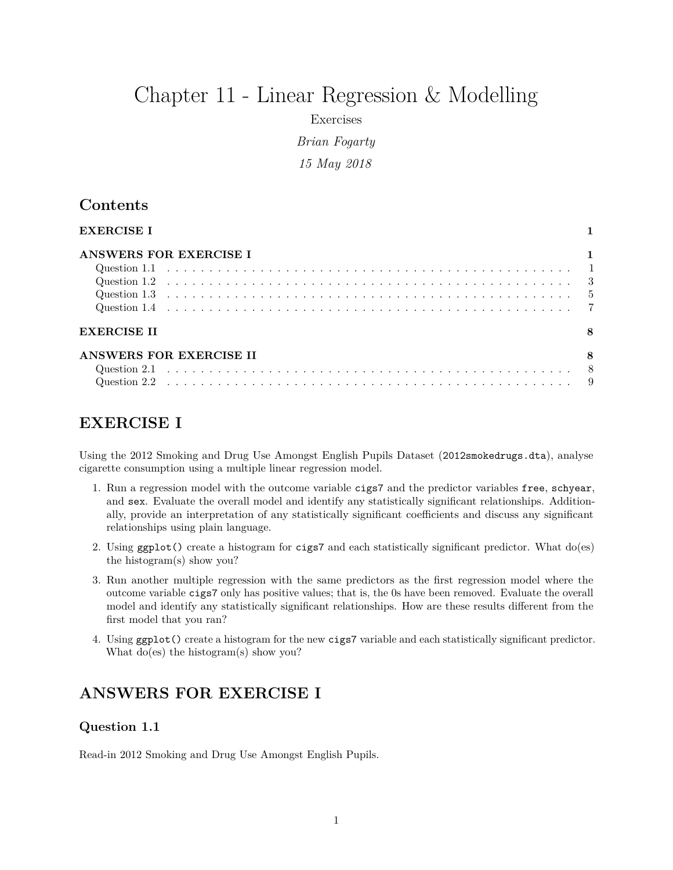# Chapter 11 - Linear Regression & Modelling

Exercises

*Brian Fogarty 15 May 2018*

## **Contents**

| EXERCISE I              |  |  |  |  |  |  |  |  |
|-------------------------|--|--|--|--|--|--|--|--|
| ANSWERS FOR EXERCISE I  |  |  |  |  |  |  |  |  |
|                         |  |  |  |  |  |  |  |  |
|                         |  |  |  |  |  |  |  |  |
|                         |  |  |  |  |  |  |  |  |
|                         |  |  |  |  |  |  |  |  |
| <b>EXERCISE II</b>      |  |  |  |  |  |  |  |  |
| ANSWERS FOR EXERCISE II |  |  |  |  |  |  |  |  |
|                         |  |  |  |  |  |  |  |  |
|                         |  |  |  |  |  |  |  |  |

# <span id="page-0-0"></span>**EXERCISE I**

Using the 2012 Smoking and Drug Use Amongst English Pupils Dataset (2012smokedrugs.dta), analyse cigarette consumption using a multiple linear regression model.

- 1. Run a regression model with the outcome variable cigs7 and the predictor variables free, schyear, and sex. Evaluate the overall model and identify any statistically significant relationships. Additionally, provide an interpretation of any statistically significant coefficients and discuss any significant relationships using plain language.
- 2. Using ggplot() create a histogram for cigs7 and each statistically significant predictor. What do(es) the histogram(s) show you?
- 3. Run another multiple regression with the same predictors as the first regression model where the outcome variable cigs7 only has positive values; that is, the 0s have been removed. Evaluate the overall model and identify any statistically significant relationships. How are these results different from the first model that you ran?
- 4. Using ggplot() create a histogram for the new cigs7 variable and each statistically significant predictor. What do(es) the histogram(s) show you?

# <span id="page-0-1"></span>**ANSWERS FOR EXERCISE I**

#### <span id="page-0-2"></span>**Question 1.1**

Read-in 2012 Smoking and Drug Use Amongst English Pupils.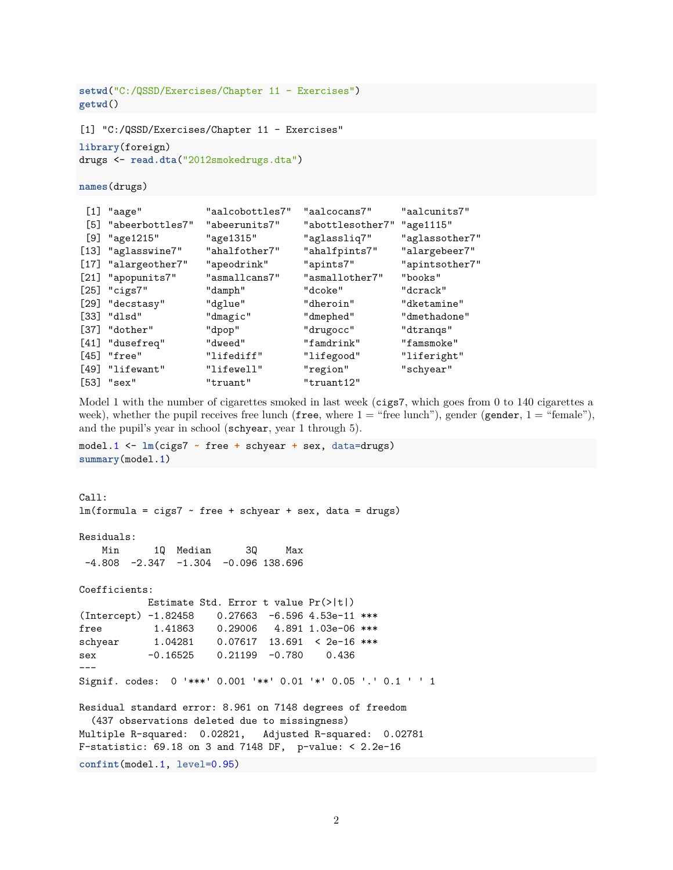```
setwd("C:/QSSD/Exercises/Chapter 11 - Exercises")
getwd()
[1] "C:/QSSD/Exercises/Chapter 11 - Exercises"
library(foreign)
drugs <- read.dta("2012smokedrugs.dta")
names(drugs)
[1] "aage" "aalcobottles7" "aalcocans7" "aalcunits7"
[5] "abeerbottles7" "abeerunits7" "abottlesother7" "age1115"
[9] "age1215" "age1315" "aglassliq7" "aglassother7"
[13] "aglasswine7" "ahalfother7" "ahalfpints7" "alargebeer7"
[17] "alargeother7" "apeodrink" "apints7" "apintsother7"
[21] "apopunits7" "asmallcans7" "asmallother7" "books"
[25] "cigs7" "damph" "dcoke" "dcrack"
[29] "decstasy" "dglue" "dheroin" "dketamine"
[33] "dlsd" "dmagic" "dmephed" "dmethadone"
[37] "dother" "dpop" "drugocc" "dtranqs"
[41] "dusefreq" "dweed" "famdrink" "famsmoke"
[45] "free" "lifediff" "lifegood" "liferight"
[49] "lifewant" "lifewell" "region" "schyear"
[53] "sex" "truant" "truant12"
```
Model 1 with the number of cigarettes smoked in last week (cigs7, which goes from 0 to 140 cigarettes a week), whether the pupil receives free lunch (free, where  $1 =$  "free lunch"), gender (gender,  $1 =$  "female"), and the pupil's year in school (schyear, year 1 through 5).

```
model.1 <- lm(cigs7 ~ free + schyear + sex, data=drugs)
summary(model.1)
```

```
Call:
lm(formula = cigs7 - free + schyear + sex, data = drugs)Residuals:
   Min 1Q Median 3Q Max
-4.808 -2.347 -1.304 -0.096 138.696
Coefficients:
           Estimate Std. Error t value Pr(>|t|)
(Intercept) -1.82458 0.27663 -6.596 4.53e-11 ***
free 1.41863  0.29006  4.891  1.03e-06 ***
schyear 1.04281 0.07617 13.691 < 2e-16 ***
sex -0.16525  0.21199  -0.780  0.436
---
Signif. codes: 0 '***' 0.001 '**' 0.01 '*' 0.05 '.' 0.1 ' ' 1
Residual standard error: 8.961 on 7148 degrees of freedom
 (437 observations deleted due to missingness)
Multiple R-squared: 0.02821, Adjusted R-squared: 0.02781
F-statistic: 69.18 on 3 and 7148 DF, p-value: < 2.2e-16
confint(model.1, level=0.95)
```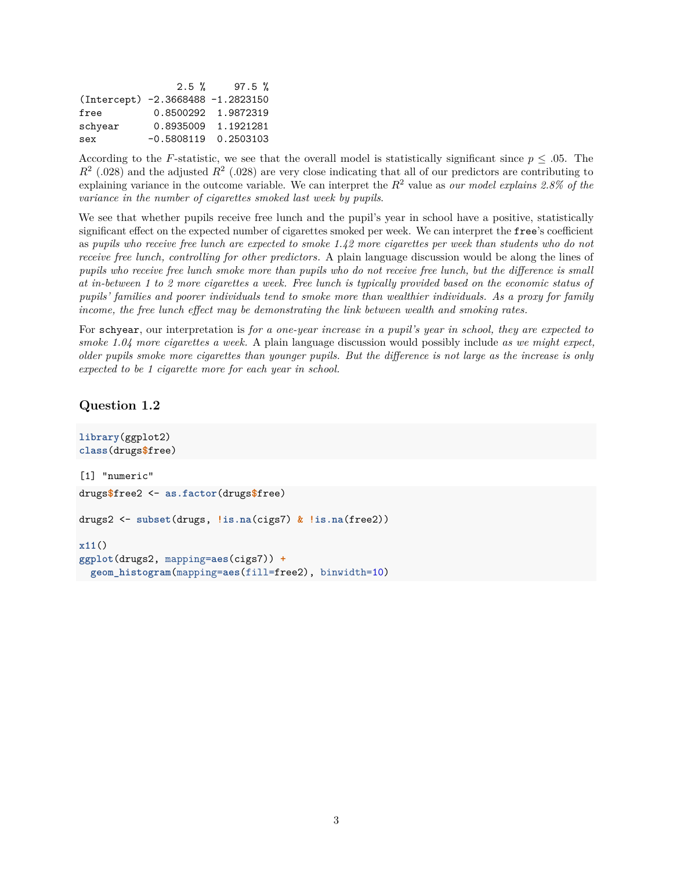|                                   |                        | $2.5 \%$ 97.5 %     |
|-----------------------------------|------------------------|---------------------|
| (Intercept) -2.3668488 -1.2823150 |                        |                     |
| free                              |                        | 0.8500292 1.9872319 |
| schyear                           |                        | 0.8935009 1.1921281 |
| sex                               | $-0.5808119$ 0.2503103 |                     |

According to the *F*-statistic, we see that the overall model is statistically significant since  $p \leq .05$ . The  $R<sup>2</sup>$  (.028) and the adjusted  $R<sup>2</sup>$  (.028) are very close indicating that all of our predictors are contributing to explaining variance in the outcome variable. We can interpret the *R*<sup>2</sup> value as *our model explains 2.8% of the variance in the number of cigarettes smoked last week by pupils*.

We see that whether pupils receive free lunch and the pupil's year in school have a positive, statistically significant effect on the expected number of cigarettes smoked per week. We can interpret the free's coefficient as *pupils who receive free lunch are expected to smoke 1.42 more cigarettes per week than students who do not receive free lunch, controlling for other predictors.* A plain language discussion would be along the lines of *pupils who receive free lunch smoke more than pupils who do not receive free lunch, but the difference is small at in-between 1 to 2 more cigarettes a week. Free lunch is typically provided based on the economic status of pupils' families and poorer individuals tend to smoke more than wealthier individuals. As a proxy for family income, the free lunch effect may be demonstrating the link between wealth and smoking rates.*

For schyear, our interpretation is *for a one-year increase in a pupil's year in school, they are expected to smoke 1.04 more cigarettes a week.* A plain language discussion would possibly include *as we might expect, older pupils smoke more cigarettes than younger pupils. But the difference is not large as the increase is only expected to be 1 cigarette more for each year in school.*

#### <span id="page-2-0"></span>**Question 1.2**

```
library(ggplot2)
class(drugs$free)
[1] "numeric"
drugs$free2 <- as.factor(drugs$free)
drugs2 <- subset(drugs, !is.na(cigs7) & !is.na(free2))
x11()
ggplot(drugs2, mapping=aes(cigs7)) +
 geom_histogram(mapping=aes(fill=free2), binwidth=10)
```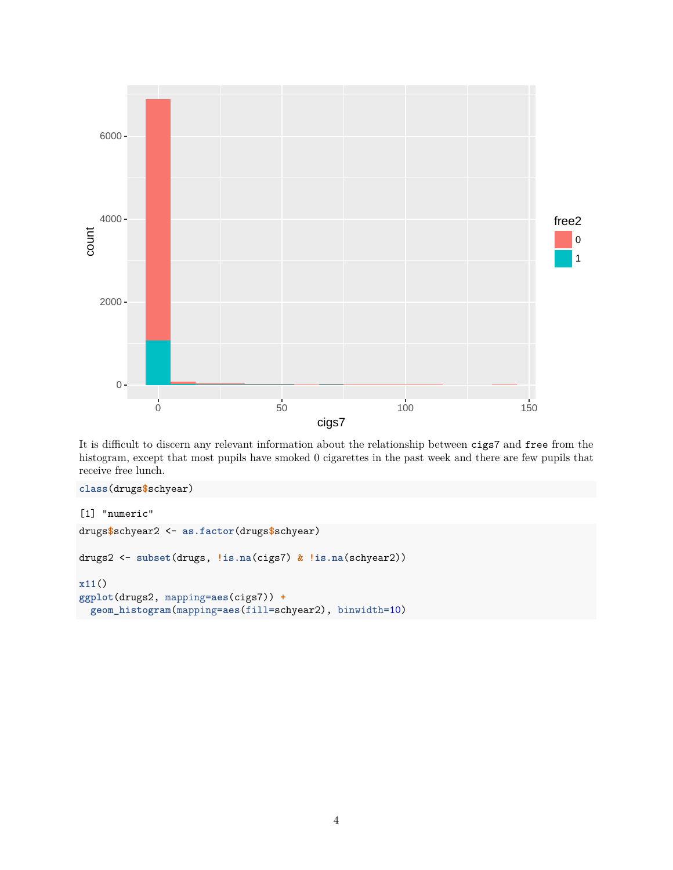

It is difficult to discern any relevant information about the relationship between cigs7 and free from the histogram, except that most pupils have smoked 0 cigarettes in the past week and there are few pupils that receive free lunch.

```
class(drugs$schyear)
[1] "numeric"
drugs$schyear2 <- as.factor(drugs$schyear)
drugs2 <- subset(drugs, !is.na(cigs7) & !is.na(schyear2))
x11()
ggplot(drugs2, mapping=aes(cigs7)) +
 geom_histogram(mapping=aes(fill=schyear2), binwidth=10)
```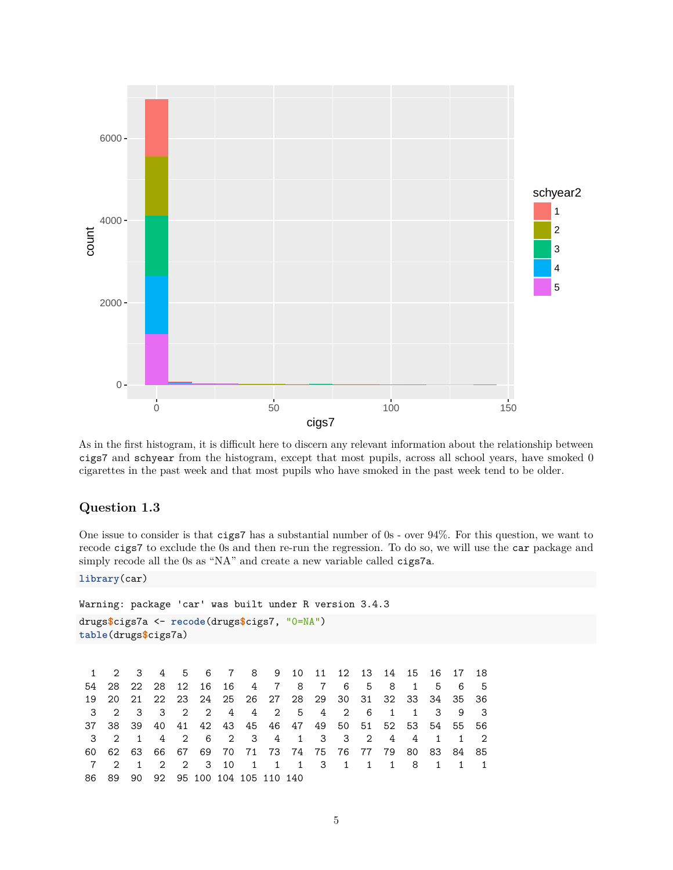

As in the first histogram, it is difficult here to discern any relevant information about the relationship between cigs7 and schyear from the histogram, except that most pupils, across all school years, have smoked 0 cigarettes in the past week and that most pupils who have smoked in the past week tend to be older.

#### <span id="page-4-0"></span>**Question 1.3**

One issue to consider is that cigs7 has a substantial number of 0s - over 94%. For this question, we want to recode cigs7 to exclude the 0s and then re-run the regression. To do so, we will use the car package and simply recode all the 0s as "NA" and create a new variable called cigs7a.

**library**(car)

```
Warning: package 'car' was built under R version 3.4.3
drugs$cigs7a <- recode(drugs$cigs7, "0=NA")
table(drugs$cigs7a)
```
1 2 3 4 5 6 7 8 9 10 11 12 13 14 15 16 17 18 54 28 22 28 12 16 16 4 7 8 7 6 5 8 1 5 6 5 19 20 21 22 23 24 25 26 27 28 29 30 31 32 33 34 35 36 3 2 3 3 2 2 4 4 2 5 4 2 6 1 1 3 9 3 37 38 39 40 41 42 43 45 46 47 49 50 51 52 53 54 55 56 3 2 1 4 2 6 2 3 4 1 3 3 2 4 4 1 1 2 60 62 63 66 67 69 70 71 73 74 75 76 77 79 80 83 84 85 7 2 1 2 2 3 10 1 1 1 3 1 1 1 8 1 1 1 86 89 90 92 95 100 104 105 110 140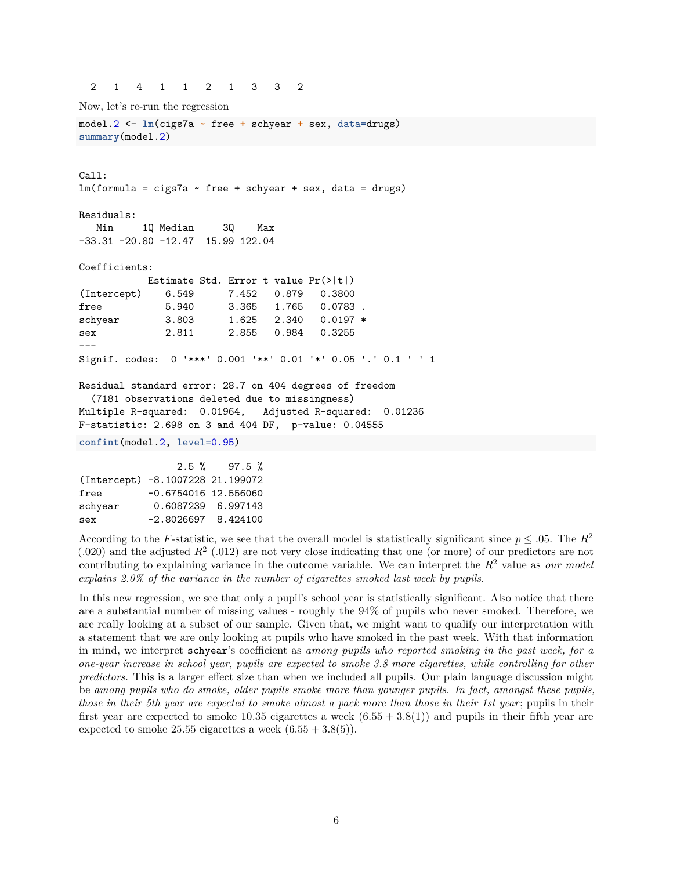2 1 4 1 1 2 1 3 3 2

Call:

Now, let's re-run the regression model.2 <- **lm**(cigs7a **~** free **+** schyear **+** sex, data=drugs) **summary**(model.2)

 $lm(formula = cigs7a - free + schyear + sex, data = drugs)$ Residuals: Min 1Q Median 3Q Max -33.31 -20.80 -12.47 15.99 122.04 Coefficients: Estimate Std. Error t value Pr(>|t|) (Intercept) 6.549 7.452 0.879 0.3800 free 5.940 3.365 1.765 0.0783. schyear 3.803 1.625 2.340 0.0197 \* sex 2.811 2.855 0.984 0.3255 --- Signif. codes: 0 '\*\*\*' 0.001 '\*\*' 0.01 '\*' 0.05 '.' 0.1 ' ' 1 Residual standard error: 28.7 on 404 degrees of freedom (7181 observations deleted due to missingness) Multiple R-squared: 0.01964, Adjusted R-squared: 0.01236 F-statistic: 2.698 on 3 and 404 DF, p-value: 0.04555 **confint**(model.2, level=0.95)

|                                  |                        | $2.5 \%$ 97.5 % |
|----------------------------------|------------------------|-----------------|
| (Intercept) -8.1007228 21.199072 |                        |                 |
| free                             | $-0.6754016$ 12.556060 |                 |
| schyear                          | 0.6087239 6.997143     |                 |
| sex                              | $-2.8026697$ 8.424100  |                 |

According to the *F*-statistic, we see that the overall model is statistically significant since  $p \leq .05$ . The  $R^2$  $(.020)$  and the adjusted  $R<sup>2</sup>$   $(.012)$  are not very close indicating that one (or more) of our predictors are not contributing to explaining variance in the outcome variable. We can interpret the  $R^2$  value as *our model explains 2.0% of the variance in the number of cigarettes smoked last week by pupils*.

In this new regression, we see that only a pupil's school year is statistically significant. Also notice that there are a substantial number of missing values - roughly the 94% of pupils who never smoked. Therefore, we are really looking at a subset of our sample. Given that, we might want to qualify our interpretation with a statement that we are only looking at pupils who have smoked in the past week. With that information in mind, we interpret schyear's coefficient as *among pupils who reported smoking in the past week, for a one-year increase in school year, pupils are expected to smoke 3.8 more cigarettes, while controlling for other predictors.* This is a larger effect size than when we included all pupils. Our plain language discussion might be *among pupils who do smoke, older pupils smoke more than younger pupils. In fact, amongst these pupils, those in their 5th year are expected to smoke almost a pack more than those in their 1st year*; pupils in their first year are expected to smoke 10.35 cigarettes a week (6*.*55 + 3*.*8(1)) and pupils in their fifth year are expected to smoke 25.55 cigarettes a week  $(6.55 + 3.8(5))$ .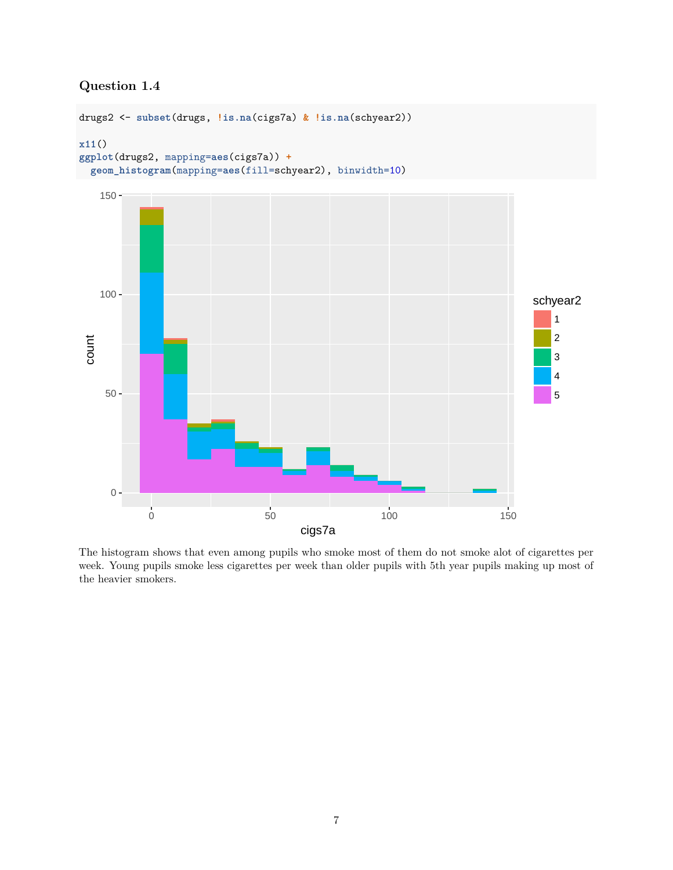## <span id="page-6-0"></span>**Question 1.4**



The histogram shows that even among pupils who smoke most of them do not smoke alot of cigarettes per week. Young pupils smoke less cigarettes per week than older pupils with 5th year pupils making up most of the heavier smokers.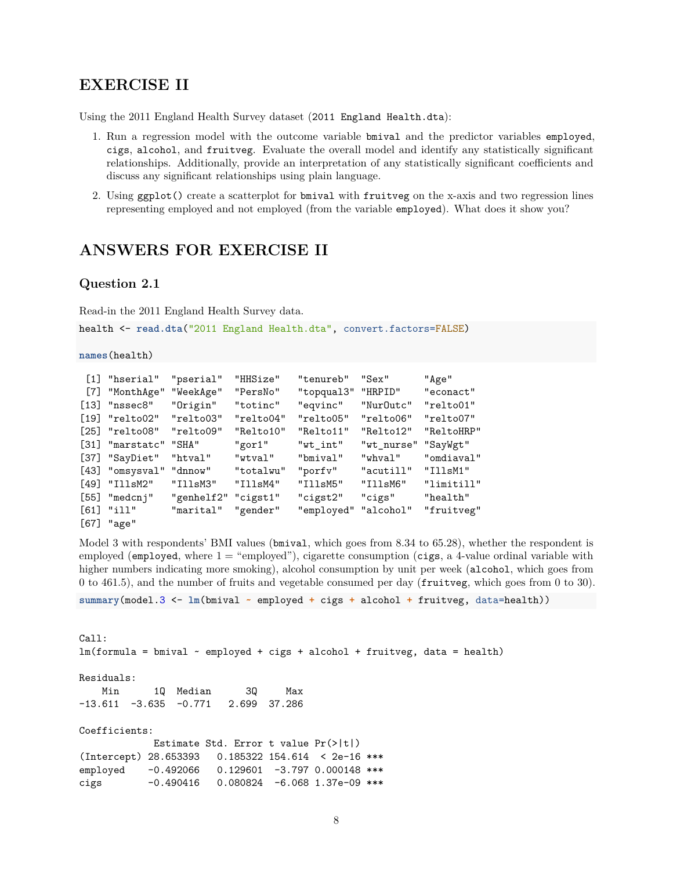### <span id="page-7-0"></span>**EXERCISE II**

Using the 2011 England Health Survey dataset (2011 England Health.dta):

- 1. Run a regression model with the outcome variable bmival and the predictor variables employed, cigs, alcohol, and fruitveg. Evaluate the overall model and identify any statistically significant relationships. Additionally, provide an interpretation of any statistically significant coefficients and discuss any significant relationships using plain language.
- 2. Using ggplot() create a scatterplot for bmival with fruitveg on the x-axis and two regression lines representing employed and not employed (from the variable employed). What does it show you?

## <span id="page-7-1"></span>**ANSWERS FOR EXERCISE II**

#### <span id="page-7-2"></span>**Question 2.1**

Read-in the 2011 England Health Survey data.

health <- **read.dta**("2011 England Health.dta", convert.factors=FALSE)

**names**(health)

|                    | $[1]$ "hserial"    | "pserial"  | "HHSize"  | "tenureb"            | $"$ Sex $"$ | "Age"      |
|--------------------|--------------------|------------|-----------|----------------------|-------------|------------|
| $[7]$              | "MonthAge"         | "WeekAge"  | "PersNo"  | "topqual3"           | "HRPID"     | "econact"  |
| $[13]$             | "nssec8"           | "Origin"   | "totinc"  | "eqvinc"             | "Nur0utc"   | "relto01"  |
| [19]               | "relto02"          | "relto03"  | "relto04" | "relto05"            | "relto06"   | "relto07"  |
|                    | $[25]$ "relto08"   | "relto09"  | "Relto10" | "Relto11"            | "Relto12"   | "ReltoHRP" |
| $\lceil 31 \rceil$ | "marstatc" "SHA"   |            | "gor1"    | "wt int"             | "wt_nurse"  | "SayWgt"   |
|                    | [37] "SayDiet"     | "htval"    | "wtval"   | "bmival"             | "whyal"     | "omdiaval" |
| [43]               | "omsysval" "dnnow" |            | "totalwu" | "porfy"              | "acutill"   | "IllsM1"   |
| [49]               | "IllsM2"           | "IllsM3"   | "IllsM4"  | "IllsM5"             | "IllsM6"    | "limitill" |
|                    | $[55]$ "medcnj"    | "genhelf2" | "cigst1"  | "cigst2"             | "cigs"      | "health"   |
|                    | $[61]$ "ill"       | "marital"  | "gender"  | "employed" "alcohol" |             | "fruitveg" |
| [67]               | "age"              |            |           |                      |             |            |

Model 3 with respondents' BMI values (bmival, which goes from 8.34 to 65.28), whether the respondent is employed (employed, where  $1 =$  "employed"), cigarette consumption (cigs, a 4-value ordinal variable with higher numbers indicating more smoking), alcohol consumption by unit per week (alcohol, which goes from 0 to 461.5), and the number of fruits and vegetable consumed per day (fruitveg, which goes from 0 to 30).

**summary**(model.3 <- **lm**(bmival **~** employed **+** cigs **+** alcohol **+** fruitveg, data=health))

Call:  $lm(formula = binival ~ m)$  =  $employed + cigs + alcohol + fruitveg, data = health)$ Residuals: Min 1Q Median 3Q Max  $-13.611$   $-3.635$   $-0.771$  2.699 37.286 Coefficients: Estimate Std. Error t value Pr(>|t|) (Intercept) 28.653393 0.185322 154.614 < 2e-16 \*\*\* employed -0.492066 0.129601 -3.797 0.000148 \*\*\* cigs -0.490416 0.080824 -6.068 1.37e-09 \*\*\*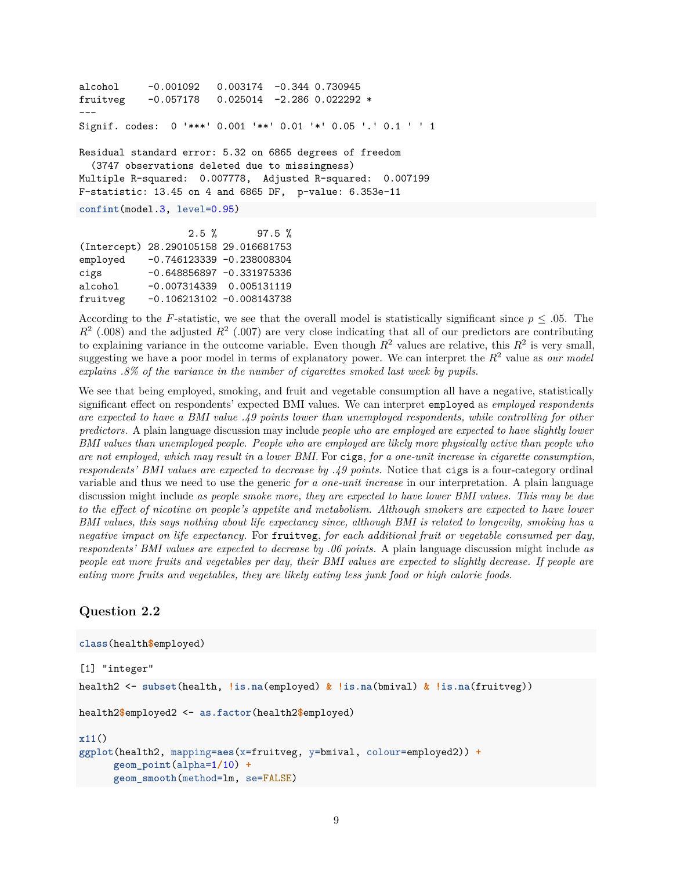```
alcohol -0.001092 0.003174 -0.344 0.730945
fruitveg -0.057178 0.025014 -2.286 0.022292 *
---Signif. codes: 0 '***' 0.001 '**' 0.01 '*' 0.05 '.' 0.1 ' ' 1
Residual standard error: 5.32 on 6865 degrees of freedom
  (3747 observations deleted due to missingness)
Multiple R-squared: 0.007778, Adjusted R-squared: 0.007199
F-statistic: 13.45 on 4 and 6865 DF, p-value: 6.353e-11
confint(model.3, level=0.95)
                  2.5 % 97.5 %
(Intercept) 28.290105158 29.016681753
employed -0.746123339 -0.238008304
cigs -0.648856897 -0.331975336
alcohol -0.007314339 0.005131119
```
fruitveg -0.106213102 -0.008143738

According to the *F*-statistic, we see that the overall model is statistically significant since *p* ≤ *.*05. The  $R<sup>2</sup>$  (.008) and the adjusted  $R<sup>2</sup>$  (.007) are very close indicating that all of our predictors are contributing to explaining variance in the outcome variable. Even though  $R^2$  values are relative, this  $R^2$  is very small, suggesting we have a poor model in terms of explanatory power. We can interpret the *R*<sup>2</sup> value as *our model explains .8% of the variance in the number of cigarettes smoked last week by pupils*.

We see that being employed, smoking, and fruit and vegetable consumption all have a negative, statistically significant effect on respondents' expected BMI values. We can interpret employed as *employed respondents are expected to have a BMI value .49 points lower than unemployed respondents, while controlling for other predictors.* A plain language discussion may include *people who are employed are expected to have slightly lower BMI values than unemployed people. People who are employed are likely more physically active than people who are not employed, which may result in a lower BMI.* For cigs, *for a one-unit increase in cigarette consumption, respondents' BMI values are expected to decrease by .49 points.* Notice that cigs is a four-category ordinal variable and thus we need to use the generic *for a one-unit increase* in our interpretation. A plain language discussion might include *as people smoke more, they are expected to have lower BMI values. This may be due to the effect of nicotine on people's appetite and metabolism. Although smokers are expected to have lower BMI values, this says nothing about life expectancy since, although BMI is related to longevity, smoking has a negative impact on life expectancy.* For fruitveg, *for each additional fruit or vegetable consumed per day, respondents' BMI values are expected to decrease by .06 points.* A plain language discussion might include *as people eat more fruits and vegetables per day, their BMI values are expected to slightly decrease. If people are eating more fruits and vegetables, they are likely eating less junk food or high calorie foods.*

#### <span id="page-8-0"></span>**Question 2.2**

```
class(health$employed)
[1] "integer"
health2 <- subset(health, !is.na(employed) & !is.na(bmival) & !is.na(fruitveg))
health2$employed2 <- as.factor(health2$employed)
x11()
ggplot(health2, mapping=aes(x=fruitveg, y=bmival, colour=employed2)) +
      geom_point(alpha=1/10) +
      geom_smooth(method=lm, se=FALSE)
```